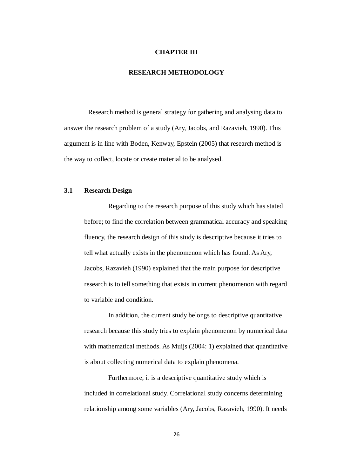#### **CHAPTER III**

# **RESEARCH METHODOLOGY**

Research method is general strategy for gathering and analysing data to answer the research problem of a study (Ary, Jacobs, and Razavieh, 1990). This argument is in line with Boden, Kenway, Epstein (2005) that research method is the way to collect, locate or create material to be analysed.

# **3.1 Research Design**

Regarding to the research purpose of this study which has stated before; to find the correlation between grammatical accuracy and speaking fluency, the research design of this study is descriptive because it tries to tell what actually exists in the phenomenon which has found. As Ary, Jacobs, Razavieh (1990) explained that the main purpose for descriptive research is to tell something that exists in current phenomenon with regard to variable and condition.

In addition, the current study belongs to descriptive quantitative research because this study tries to explain phenomenon by numerical data with mathematical methods. As Muijs (2004: 1) explained that quantitative is about collecting numerical data to explain phenomena.

Furthermore, it is a descriptive quantitative study which is included in correlational study. Correlational study concerns determining relationship among some variables (Ary, Jacobs, Razavieh, 1990). It needs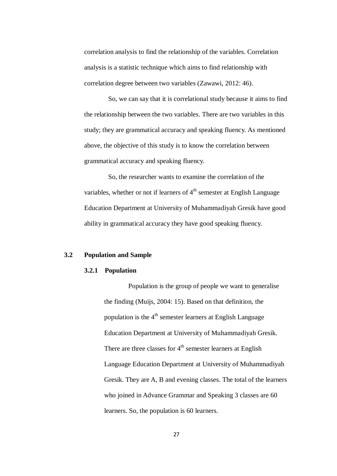correlation analysis to find the relationship of the variables. Correlation analysis is a statistic technique which aims to find relationship with correlation degree between two variables (Zawawi, 2012: 46).

So, we can say that it is correlational study because it aims to find the relationship between the two variables. There are two variables in this study; they are grammatical accuracy and speaking fluency. As mentioned above, the objective of this study is to know the correlation between grammatical accuracy and speaking fluency.

So, the researcher wants to examine the correlation of the variables, whether or not if learners of  $4<sup>th</sup>$  semester at English Language Education Department at University of Muhammadiyah Gresik have good ability in grammatical accuracy they have good speaking fluency.

### **3.2 Population and Sample**

# **3.2.1 Population**

Population is the group of people we want to generalise the finding (Muijs, 2004: 15). Based on that definition, the population is the  $4<sup>th</sup>$  semester learners at English Language Education Department at University of Muhammadiyah Gresik. There are three classes for  $4<sup>th</sup>$  semester learners at English Language Education Department at University of Muhammadiyah Gresik. They are A, B and evening classes. The total of the learners who joined in Advance Grammar and Speaking 3 classes are 60 learners. So, the population is 60 learners.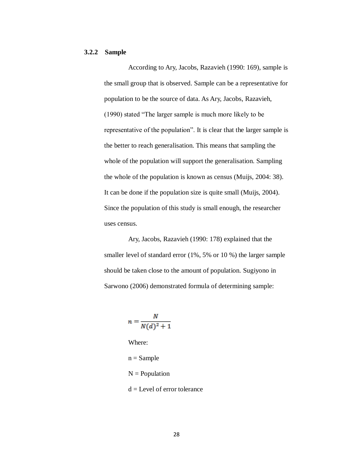### **3.2.2 Sample**

According to Ary, Jacobs, Razavieh (1990: 169), sample is the small group that is observed. Sample can be a representative for population to be the source of data. As Ary, Jacobs, Razavieh, (1990) stated "The larger sample is much more likely to be representative of the population". It is clear that the larger sample is the better to reach generalisation. This means that sampling the whole of the population will support the generalisation. Sampling the whole of the population is known as census (Muijs, 2004: 38). It can be done if the population size is quite small (Muijs, 2004). Since the population of this study is small enough, the researcher uses census.

Ary, Jacobs, Razavieh (1990: 178) explained that the smaller level of standard error (1%, 5% or 10 %) the larger sample should be taken close to the amount of population. Sugiyono in Sarwono (2006) demonstrated formula of determining sample:

$$
n = \frac{N}{N(d)^2 + 1}
$$

Where:

 $n = Sample$ 

- $N =$  Population
- $d =$ Level of error tolerance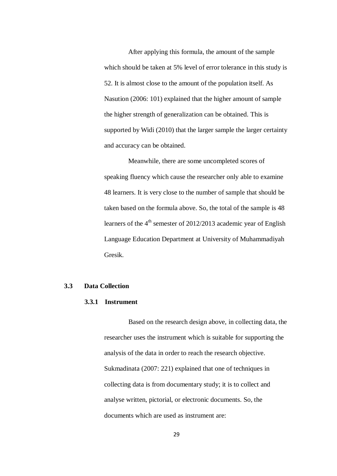After applying this formula, the amount of the sample which should be taken at 5% level of error tolerance in this study is 52. It is almost close to the amount of the population itself. As Nasution (2006: 101) explained that the higher amount of sample the higher strength of generalization can be obtained. This is supported by Widi (2010) that the larger sample the larger certainty and accuracy can be obtained.

Meanwhile, there are some uncompleted scores of speaking fluency which cause the researcher only able to examine 48 learners. It is very close to the number of sample that should be taken based on the formula above. So, the total of the sample is 48 learners of the  $4<sup>th</sup>$  semester of 2012/2013 academic year of English Language Education Department at University of Muhammadiyah Gresik.

#### **3.3 Data Collection**

## **3.3.1 Instrument**

Based on the research design above, in collecting data, the researcher uses the instrument which is suitable for supporting the analysis of the data in order to reach the research objective. Sukmadinata (2007: 221) explained that one of techniques in collecting data is from documentary study; it is to collect and analyse written, pictorial, or electronic documents. So, the documents which are used as instrument are: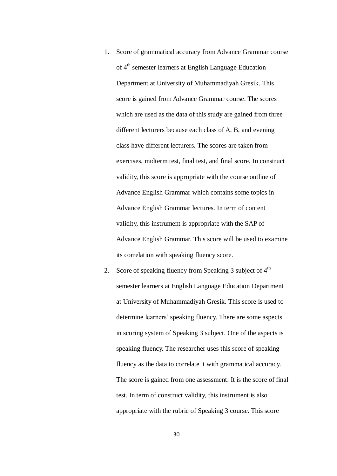- 1. Score of grammatical accuracy from Advance Grammar course of 4<sup>th</sup> semester learners at English Language Education Department at University of Muhammadiyah Gresik. This score is gained from Advance Grammar course. The scores which are used as the data of this study are gained from three different lecturers because each class of A, B, and evening class have different lecturers. The scores are taken from exercises, midterm test, final test, and final score. In construct validity, this score is appropriate with the course outline of Advance English Grammar which contains some topics in Advance English Grammar lectures. In term of content validity, this instrument is appropriate with the SAP of Advance English Grammar. This score will be used to examine its correlation with speaking fluency score.
- 2. Score of speaking fluency from Speaking 3 subject of  $4<sup>th</sup>$ semester learners at English Language Education Department at University of Muhammadiyah Gresik. This score is used to determine learners' speaking fluency. There are some aspects in scoring system of Speaking 3 subject. One of the aspects is speaking fluency. The researcher uses this score of speaking fluency as the data to correlate it with grammatical accuracy. The score is gained from one assessment. It is the score of final test. In term of construct validity, this instrument is also appropriate with the rubric of Speaking 3 course. This score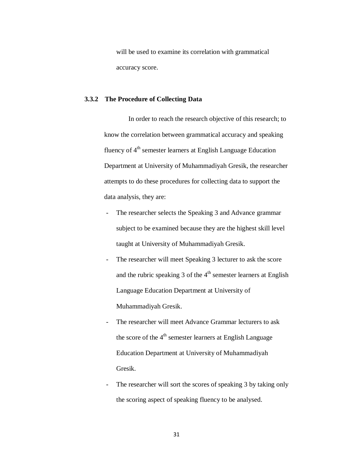will be used to examine its correlation with grammatical accuracy score.

## **3.3.2 The Procedure of Collecting Data**

In order to reach the research objective of this research; to know the correlation between grammatical accuracy and speaking fluency of  $4<sup>th</sup>$  semester learners at English Language Education Department at University of Muhammadiyah Gresik, the researcher attempts to do these procedures for collecting data to support the data analysis, they are:

- The researcher selects the Speaking 3 and Advance grammar subject to be examined because they are the highest skill level taught at University of Muhammadiyah Gresik.
- The researcher will meet Speaking 3 lecturer to ask the score and the rubric speaking  $3$  of the  $4<sup>th</sup>$  semester learners at English Language Education Department at University of Muhammadiyah Gresik.
- The researcher will meet Advance Grammar lecturers to ask the score of the 4<sup>th</sup> semester learners at English Language Education Department at University of Muhammadiyah Gresik.
- The researcher will sort the scores of speaking 3 by taking only the scoring aspect of speaking fluency to be analysed.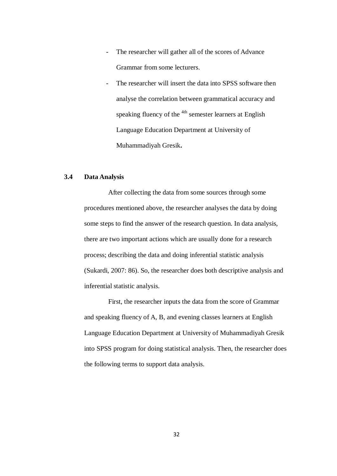- The researcher will gather all of the scores of Advance Grammar from some lecturers.
- The researcher will insert the data into SPSS software then analyse the correlation between grammatical accuracy and speaking fluency of the <sup>4th</sup> semester learners at English Language Education Department at University of Muhammadiyah Gresik**.**

# **3.4 Data Analysis**

After collecting the data from some sources through some procedures mentioned above, the researcher analyses the data by doing some steps to find the answer of the research question. In data analysis, there are two important actions which are usually done for a research process; describing the data and doing inferential statistic analysis (Sukardi, 2007: 86). So, the researcher does both descriptive analysis and inferential statistic analysis.

First, the researcher inputs the data from the score of Grammar and speaking fluency of A, B, and evening classes learners at English Language Education Department at University of Muhammadiyah Gresik into SPSS program for doing statistical analysis. Then, the researcher does the following terms to support data analysis.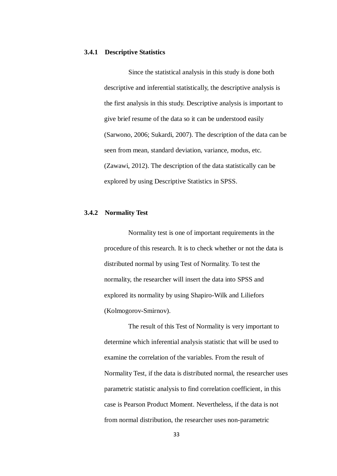#### **3.4.1 Descriptive Statistics**

Since the statistical analysis in this study is done both descriptive and inferential statistically, the descriptive analysis is the first analysis in this study. Descriptive analysis is important to give brief resume of the data so it can be understood easily (Sarwono, 2006; Sukardi, 2007). The description of the data can be seen from mean, standard deviation, variance, modus, etc. (Zawawi, 2012). The description of the data statistically can be explored by using Descriptive Statistics in SPSS.

# **3.4.2 Normality Test**

Normality test is one of important requirements in the procedure of this research. It is to check whether or not the data is distributed normal by using Test of Normality. To test the normality, the researcher will insert the data into SPSS and explored its normality by using Shapiro-Wilk and Liliefors (Kolmogorov-Smirnov).

The result of this Test of Normality is very important to determine which inferential analysis statistic that will be used to examine the correlation of the variables. From the result of Normality Test, if the data is distributed normal, the researcher uses parametric statistic analysis to find correlation coefficient, in this case is Pearson Product Moment. Nevertheless, if the data is not from normal distribution, the researcher uses non-parametric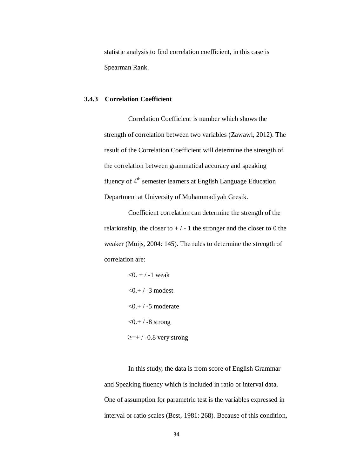statistic analysis to find correlation coefficient, in this case is Spearman Rank.

## **3.4.3 Correlation Coefficient**

Correlation Coefficient is number which shows the strength of correlation between two variables (Zawawi, 2012). The result of the Correlation Coefficient will determine the strength of the correlation between grammatical accuracy and speaking fluency of  $4<sup>th</sup>$  semester learners at English Language Education Department at University of Muhammadiyah Gresik.

Coefficient correlation can determine the strength of the relationship, the closer to  $+/-1$  the stronger and the closer to 0 the weaker (Muijs, 2004: 145). The rules to determine the strength of correlation are:

```
< 0. + / -1 weak
< 0. + 7 - 3 modest
<0,+/-5 moderate
<0.+ / -8 strong
\geq=+/-0.8 very strong
```
In this study, the data is from score of English Grammar and Speaking fluency which is included in ratio or interval data. One of assumption for parametric test is the variables expressed in interval or ratio scales (Best, 1981: 268). Because of this condition,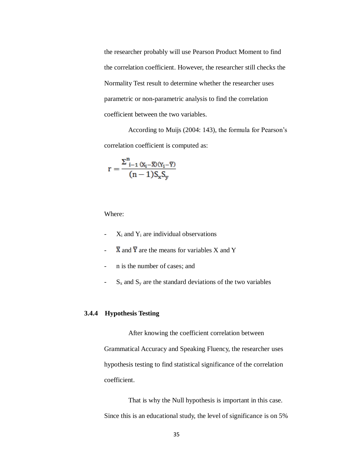the researcher probably will use Pearson Product Moment to find the correlation coefficient. However, the researcher still checks the Normality Test result to determine whether the researcher uses parametric or non-parametric analysis to find the correlation coefficient between the two variables.

According to Muijs (2004: 143), the formula for Pearson's correlation coefficient is computed as:

$$
r=\frac{\Sigma_{i-1}^n\left(x_i-\overline{x}\right)\left(y_i-\overline{y}\right)}{(n-1)S_xS_y}
$$

Where:

- $X_i$  and  $Y_i$  are individual observations
- $\overline{X}$  and  $\overline{Y}$  are the means for variables X and Y
- n is the number of cases; and
- $S_x$  and  $S_y$  are the standard deviations of the two variables

# **3.4.4 Hypothesis Testing**

After knowing the coefficient correlation between Grammatical Accuracy and Speaking Fluency, the researcher uses hypothesis testing to find statistical significance of the correlation coefficient.

That is why the Null hypothesis is important in this case. Since this is an educational study, the level of significance is on 5%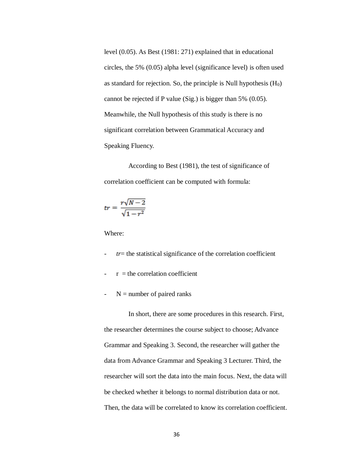level (0.05). As Best (1981: 271) explained that in educational circles, the 5% (0.05) alpha level (significance level) is often used as standard for rejection. So, the principle is Null hypothesis  $(H_0)$ cannot be rejected if P value (Sig.) is bigger than 5% (0.05). Meanwhile, the Null hypothesis of this study is there is no significant correlation between Grammatical Accuracy and Speaking Fluency.

According to Best (1981), the test of significance of correlation coefficient can be computed with formula:

$$
tr = \frac{r\sqrt{N-2}}{\sqrt{1-r^2}}
$$

Where:

- *tr*= the statistical significance of the correlation coefficient
- $r =$  the correlation coefficient
- $\sim$  N = number of paired ranks

In short, there are some procedures in this research. First, the researcher determines the course subject to choose; Advance Grammar and Speaking 3. Second, the researcher will gather the data from Advance Grammar and Speaking 3 Lecturer. Third, the researcher will sort the data into the main focus. Next, the data will be checked whether it belongs to normal distribution data or not. Then, the data will be correlated to know its correlation coefficient.